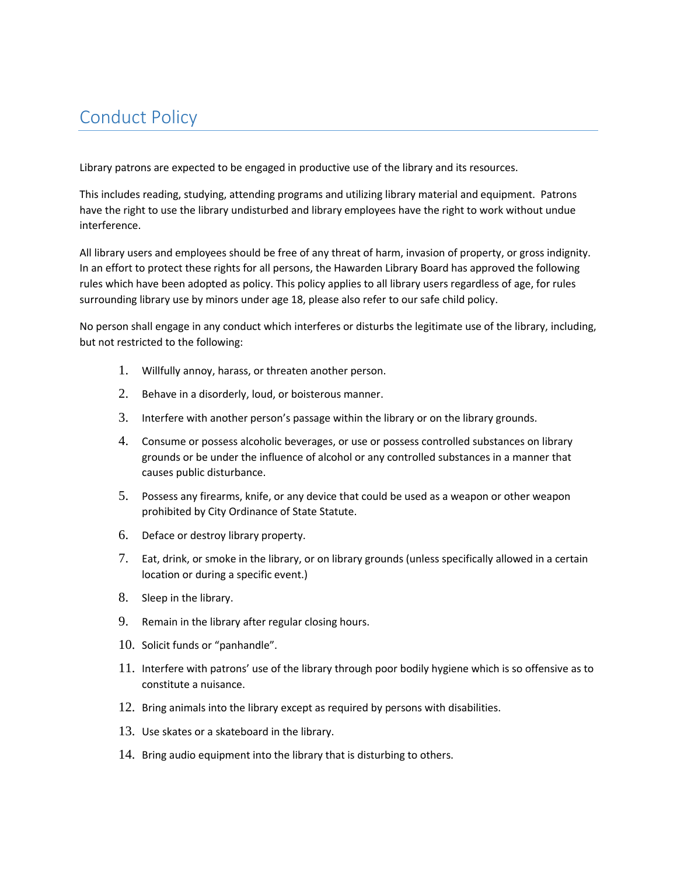## Conduct Policy

Library patrons are expected to be engaged in productive use of the library and its resources.

This includes reading, studying, attending programs and utilizing library material and equipment. Patrons have the right to use the library undisturbed and library employees have the right to work without undue interference.

All library users and employees should be free of any threat of harm, invasion of property, or gross indignity. In an effort to protect these rights for all persons, the Hawarden Library Board has approved the following rules which have been adopted as policy. This policy applies to all library users regardless of age, for rules surrounding library use by minors under age 18, please also refer to our safe child policy.

No person shall engage in any conduct which interferes or disturbs the legitimate use of the library, including, but not restricted to the following:

- 1. Willfully annoy, harass, or threaten another person.
- 2. Behave in a disorderly, loud, or boisterous manner.
- 3. Interfere with another person's passage within the library or on the library grounds.
- 4. Consume or possess alcoholic beverages, or use or possess controlled substances on library grounds or be under the influence of alcohol or any controlled substances in a manner that causes public disturbance.
- 5. Possess any firearms, knife, or any device that could be used as a weapon or other weapon prohibited by City Ordinance of State Statute.
- 6. Deface or destroy library property.
- 7. Eat, drink, or smoke in the library, or on library grounds (unless specifically allowed in a certain location or during a specific event.)
- 8. Sleep in the library.
- 9. Remain in the library after regular closing hours.
- 10. Solicit funds or "panhandle".
- 11. Interfere with patrons' use of the library through poor bodily hygiene which is so offensive as to constitute a nuisance.
- 12. Bring animals into the library except as required by persons with disabilities.
- 13. Use skates or a skateboard in the library.
- 14. Bring audio equipment into the library that is disturbing to others.